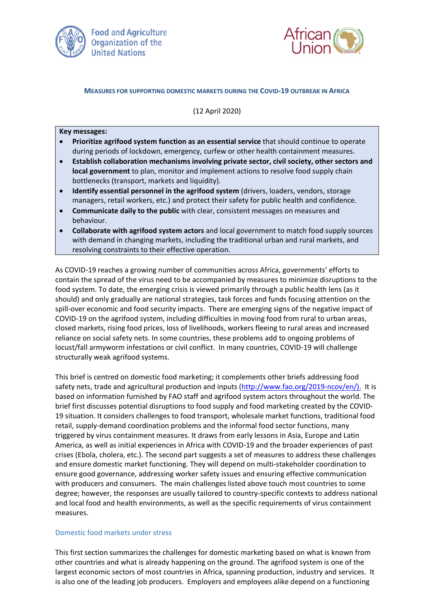



# **MEASURES FOR SUPPORTING DOMESTIC MARKETS DURING THE COVID-19 OUTBREAK IN AFRICA**

(12 April 2020)

### **Key messages:**

- **Prioritize agrifood system function as an essential service** that should continue to operate during periods of lockdown, emergency, curfew or other health containment measures.
- **Establish collaboration mechanisms involving private sector, civil society, other sectors and local government** to plan, monitor and implement actions to resolve food supply chain bottlenecks (transport, markets and liquidity).
- **Identify essential personnel in the agrifood system** (drivers, loaders, vendors, storage managers, retail workers, etc.) and protect their safety for public health and confidence.
- **Communicate daily to the public** with clear, consistent messages on measures and behaviour.
- **Collaborate with agrifood system actors** and local government to match food supply sources with demand in changing markets, including the traditional urban and rural markets, and resolving constraints to their effective operation.

As COVID-19 reaches a growing number of communities across Africa, governments' efforts to contain the spread of the virus need to be accompanied by measures to minimize disruptions to the food system. To date, the emerging crisis is viewed primarily through a public health lens (as it should) and only gradually are national strategies, task forces and funds focusing attention on the spill-over economic and food security impacts. There are emerging signs of the negative impact of COVID-19 on the agrifood system, including difficulties in moving food from rural to urban areas, closed markets, rising food prices, loss of livelihoods, workers fleeing to rural areas and increased reliance on social safety nets. In some countries, these problems add to ongoing problems of locust/fall armyworm infestations or civil conflict. In many countries, COVID-19 will challenge structurally weak agrifood systems.

This brief is centred on domestic food marketing; it complements other briefs addressing food safety nets, trade and agricultural production and inputs [\(http://www.fao.org/2019-ncov/en/\)](http://www.fao.org/2019-ncov/en/). It is based on information furnished by FAO staff and agrifood system actors throughout the world. The brief first discusses potential disruptions to food supply and food marketing created by the COVID-19 situation. It considers challenges to food transport, wholesale market functions, traditional food retail, supply-demand coordination problems and the informal food sector functions, many triggered by virus containment measures. It draws from early lessons in Asia, Europe and Latin America, as well as initial experiences in Africa with COVID-19 and the broader experiences of past crises (Ebola, cholera, etc.). The second part suggests a set of measures to address these challenges and ensure domestic market functioning. They will depend on multi-stakeholder coordination to ensure good governance, addressing worker safety issues and ensuring effective communication with producers and consumers. The main challenges listed above touch most countries to some degree; however, the responses are usually tailored to country-specific contexts to address national and local food and health environments, as well as the specific requirements of virus containment measures.

# Domestic food markets under stress

This first section summarizes the challenges for domestic marketing based on what is known from other countries and what is already happening on the ground. The agrifood system is one of the largest economic sectors of most countries in Africa, spanning production, industry and services. It is also one of the leading job producers. Employers and employees alike depend on a functioning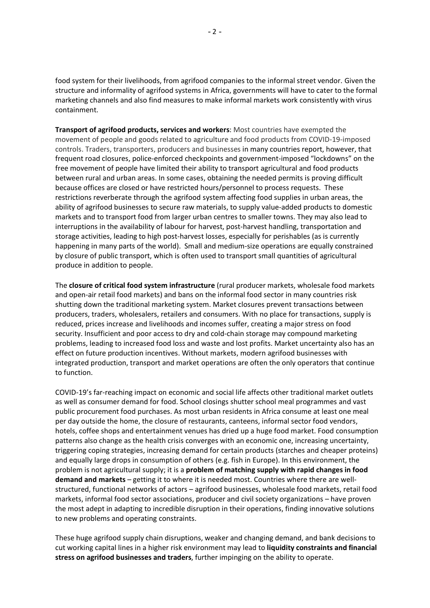food system for their livelihoods, from agrifood companies to the informal street vendor. Given the structure and informality of agrifood systems in Africa, governments will have to cater to the formal marketing channels and also find measures to make informal markets work consistently with virus containment.

**Transport of agrifood products, services and workers**: Most countries have exempted the movement of people and goods related to agriculture and food products from COVID-19-imposed controls. Traders, transporters, producers and businesses in many countries report, however, that frequent road closures, police-enforced checkpoints and government-imposed "lockdowns" on the free movement of people have limited their ability to transport agricultural and food products between rural and urban areas. In some cases, obtaining the needed permits is proving difficult because offices are closed or have restricted hours/personnel to process requests. These restrictions reverberate through the agrifood system affecting food supplies in urban areas, the ability of agrifood businesses to secure raw materials, to supply value-added products to domestic markets and to transport food from larger urban centres to smaller towns. They may also lead to interruptions in the availability of labour for harvest, post-harvest handling, transportation and storage activities, leading to high post-harvest losses, especially for perishables (as is currently happening in many parts of the world). Small and medium-size operations are equally constrained by closure of public transport, which is often used to transport small quantities of agricultural produce in addition to people.

The **closure of critical food system infrastructure** (rural producer markets, wholesale food markets and open-air retail food markets) and bans on the informal food sector in many countries risk shutting down the traditional marketing system. Market closures prevent transactions between producers, traders, wholesalers, retailers and consumers. With no place for transactions, supply is reduced, prices increase and livelihoods and incomes suffer, creating a major stress on food security. Insufficient and poor access to dry and cold-chain storage may compound marketing problems, leading to increased food loss and waste and lost profits. Market uncertainty also has an effect on future production incentives. Without markets, modern agrifood businesses with integrated production, transport and market operations are often the only operators that continue to function.

COVID-19's far-reaching impact on economic and social life affects other traditional market outlets as well as consumer demand for food. School closings shutter school meal programmes and vast public procurement food purchases. As most urban residents in Africa consume at least one meal per day outside the home, the closure of restaurants, canteens, informal sector food vendors, hotels, coffee shops and entertainment venues has dried up a huge food market. Food consumption patterns also change as the health crisis converges with an economic one, increasing uncertainty, triggering coping strategies, increasing demand for certain products (starches and cheaper proteins) and equally large drops in consumption of others (e.g. fish in Europe). In this environment, the problem is not agricultural supply; it is a **problem of matching supply with rapid changes in food demand and markets** – getting it to where it is needed most. Countries where there are wellstructured, functional networks of actors – agrifood businesses, wholesale food markets, retail food markets, informal food sector associations, producer and civil society organizations – have proven the most adept in adapting to incredible disruption in their operations, finding innovative solutions to new problems and operating constraints.

These huge agrifood supply chain disruptions, weaker and changing demand, and bank decisions to cut working capital lines in a higher risk environment may lead to **liquidity constraints and financial stress on agrifood businesses and traders**, further impinging on the ability to operate.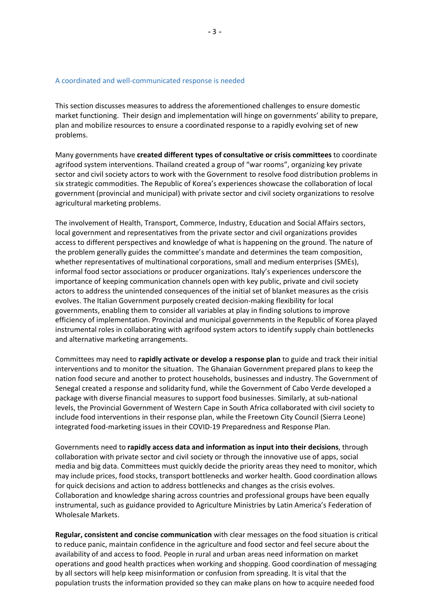#### A coordinated and well-communicated response is needed

This section discusses measures to address the aforementioned challenges to ensure domestic market functioning. Their design and implementation will hinge on governments' ability to prepare, plan and mobilize resources to ensure a coordinated response to a rapidly evolving set of new problems.

Many governments have **created different types of consultative or crisis committees** to coordinate agrifood system interventions. Thailand created a group of "war rooms", organizing key private sector and civil society actors to work with the Government to resolve food distribution problems in six strategic commodities. The Republic of Korea's experiences showcase the collaboration of local government (provincial and municipal) with private sector and civil society organizations to resolve agricultural marketing problems.

The involvement of Health, Transport, Commerce, Industry, Education and Social Affairs sectors, local government and representatives from the private sector and civil organizations provides access to different perspectives and knowledge of what is happening on the ground. The nature of the problem generally guides the committee's mandate and determines the team composition, whether representatives of multinational corporations, small and medium enterprises (SMEs), informal food sector associations or producer organizations. Italy's experiences underscore the importance of keeping communication channels open with key public, private and civil society actors to address the unintended consequences of the initial set of blanket measures as the crisis evolves. The Italian Government purposely created decision-making flexibility for local governments, enabling them to consider all variables at play in finding solutions to improve efficiency of implementation. Provincial and municipal governments in the Republic of Korea played instrumental roles in collaborating with agrifood system actors to identify supply chain bottlenecks and alternative marketing arrangements.

Committees may need to **rapidly activate or develop a response plan** to guide and track their initial interventions and to monitor the situation. The Ghanaian Government prepared plans to keep the nation food secure and another to protect households, businesses and industry. The Government of Senegal created a response and solidarity fund, while the Government of Cabo Verde developed a package with diverse financial measures to support food businesses. Similarly, at sub-national levels, the Provincial Government of Western Cape in South Africa collaborated with civil society to include food interventions in their response plan, while the Freetown City Council (Sierra Leone) integrated food-marketing issues in their COVID-19 Preparedness and Response Plan.

Governments need to **rapidly access data and information as input into their decisions**, through collaboration with private sector and civil society or through the innovative use of apps, social media and big data. Committees must quickly decide the priority areas they need to monitor, which may include prices, food stocks, transport bottlenecks and worker health. Good coordination allows for quick decisions and action to address bottlenecks and changes as the crisis evolves. Collaboration and knowledge sharing across countries and professional groups have been equally instrumental, such as guidance provided to Agriculture Ministries by Latin America's Federation of Wholesale Markets.

**Regular, consistent and concise communication** with clear messages on the food situation is critical to reduce panic, maintain confidence in the agriculture and food sector and feel secure about the availability of and access to food. People in rural and urban areas need information on market operations and good health practices when working and shopping. Good coordination of messaging by all sectors will help keep misinformation or confusion from spreading. It is vital that the population trusts the information provided so they can make plans on how to acquire needed food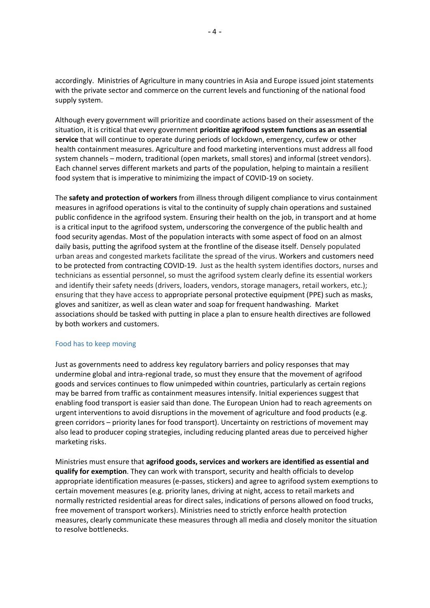accordingly. Ministries of Agriculture in many countries in Asia and Europe issued joint statements with the private sector and commerce on the current levels and functioning of the national food supply system.

Although every government will prioritize and coordinate actions based on their assessment of the situation, it is critical that every government **prioritize agrifood system functions as an essential service** that will continue to operate during periods of lockdown, emergency, curfew or other health containment measures. Agriculture and food marketing interventions must address all food system channels – modern, traditional (open markets, small stores) and informal (street vendors). Each channel serves different markets and parts of the population, helping to maintain a resilient food system that is imperative to minimizing the impact of COVID-19 on society.

The **safety and protection of workers** from illness through diligent compliance to virus containment measures in agrifood operations is vital to the continuity of supply chain operations and sustained public confidence in the agrifood system. Ensuring their health on the job, in transport and at home is a critical input to the agrifood system, underscoring the convergence of the public health and food security agendas. Most of the population interacts with some aspect of food on an almost daily basis, putting the agrifood system at the frontline of the disease itself. Densely populated urban areas and congested markets facilitate the spread of the virus. Workers and customers need to be protected from contracting COVID-19. Just as the health system identifies doctors, nurses and technicians as essential personnel, so must the agrifood system clearly define its essential workers and identify their safety needs (drivers, loaders, vendors, storage managers, retail workers, etc.); ensuring that they have access to appropriate personal protective equipment (PPE) such as masks, gloves and sanitizer, as well as clean water and soap for frequent handwashing. Market associations should be tasked with putting in place a plan to ensure health directives are followed by both workers and customers.

# Food has to keep moving

Just as governments need to address key regulatory barriers and policy responses that may undermine global and intra-regional trade, so must they ensure that the movement of agrifood goods and services continues to flow unimpeded within countries, particularly as certain regions may be barred from traffic as containment measures intensify. Initial experiences suggest that enabling food transport is easier said than done. The European Union had to reach agreements on urgent interventions to avoid disruptions in the movement of agriculture and food products (e.g. green corridors – priority lanes for food transport). Uncertainty on restrictions of movement may also lead to producer coping strategies, including reducing planted areas due to perceived higher marketing risks.

Ministries must ensure that **agrifood goods, services and workers are identified as essential and qualify for exemption**. They can work with transport, security and health officials to develop appropriate identification measures (e-passes, stickers) and agree to agrifood system exemptions to certain movement measures (e.g. priority lanes, driving at night, access to retail markets and normally restricted residential areas for direct sales, indications of persons allowed on food trucks, free movement of transport workers). Ministries need to strictly enforce health protection measures, clearly communicate these measures through all media and closely monitor the situation to resolve bottlenecks.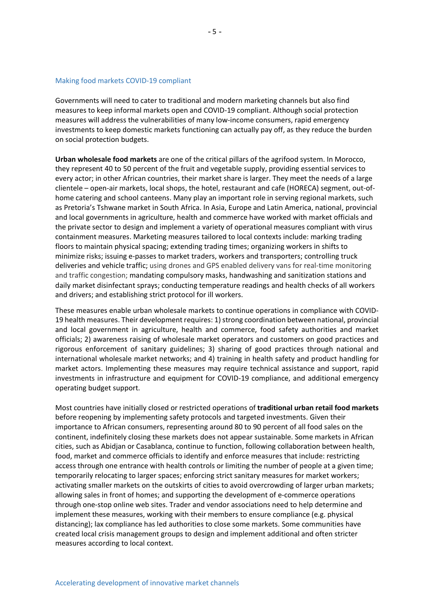#### Making food markets COVID-19 compliant

Governments will need to cater to traditional and modern marketing channels but also find measures to keep informal markets open and COVID-19 compliant. Although social protection measures will address the vulnerabilities of many low-income consumers, rapid emergency investments to keep domestic markets functioning can actually pay off, as they reduce the burden on social protection budgets.

**Urban wholesale food markets** are one of the critical pillars of the agrifood system. In Morocco, they represent 40 to 50 percent of the fruit and vegetable supply, providing essential services to every actor; in other African countries, their market share is larger. They meet the needs of a large clientele – open-air markets, local shops, the hotel, restaurant and cafe (HORECA) segment, out-ofhome catering and school canteens. Many play an important role in serving regional markets, such as Pretoria's Tshwane market in South Africa. In Asia, Europe and Latin America, national, provincial and local governments in agriculture, health and commerce have worked with market officials and the private sector to design and implement a variety of operational measures compliant with virus containment measures. Marketing measures tailored to local contexts include: marking trading floors to maintain physical spacing; extending trading times; organizing workers in shifts to minimize risks; issuing e-passes to market traders, workers and transporters; controlling truck deliveries and vehicle traffic; using drones and GPS enabled delivery vans for real-time monitoring and traffic congestion; mandating compulsory masks, handwashing and sanitization stations and daily market disinfectant sprays; conducting temperature readings and health checks of all workers and drivers; and establishing strict protocol for ill workers.

These measures enable urban wholesale markets to continue operations in compliance with COVID-19 health measures. Their development requires: 1) strong coordination between national, provincial and local government in agriculture, health and commerce, food safety authorities and market officials; 2) awareness raising of wholesale market operators and customers on good practices and rigorous enforcement of sanitary guidelines; 3) sharing of good practices through national and international wholesale market networks; and 4) training in health safety and product handling for market actors. Implementing these measures may require technical assistance and support, rapid investments in infrastructure and equipment for COVID-19 compliance, and additional emergency operating budget support.

Most countries have initially closed or restricted operations of **traditional urban retail food markets** before reopening by implementing safety protocols and targeted investments. Given their importance to African consumers, representing around 80 to 90 percent of all food sales on the continent, indefinitely closing these markets does not appear sustainable. Some markets in African cities, such as Abidjan or Casablanca, continue to function, following collaboration between health, food, market and commerce officials to identify and enforce measures that include: restricting access through one entrance with health controls or limiting the number of people at a given time; temporarily relocating to larger spaces; enforcing strict sanitary measures for market workers; activating smaller markets on the outskirts of cities to avoid overcrowding of larger urban markets; allowing sales in front of homes; and supporting the development of e-commerce operations through one-stop online web sites. Trader and vendor associations need to help determine and implement these measures, working with their members to ensure compliance (e.g. physical distancing); lax compliance has led authorities to close some markets. Some communities have created local crisis management groups to design and implement additional and often stricter measures according to local context.